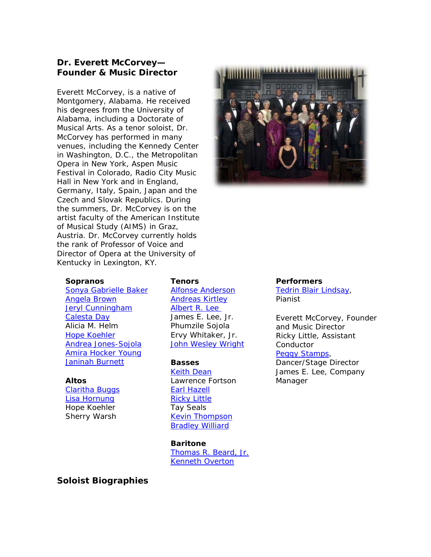# **Dr. Everett McCorvey—** *Founder & Music Director*

Everett McCorvey, is a native of Montgomery, Alabama. He received his degrees from the University of Alabama, including a Doctorate of Musical Arts. As a tenor soloist, Dr. McCorvey has performed in many venues, including the Kennedy Center in Washington, D.C., the Metropolitan Opera in New York, Aspen Music Festival in Colorado, Radio City Music Hall in New York and in England, Germany, Italy, Spain, Japan and the Czech and Slovak Republics. During the summers, Dr. McCorvey is on the artist faculty of the American Institute of Musical Study (AIMS) in Graz, Austria. Dr. McCorvey currently holds the rank of Professor of Voice and Director of Opera at the University of Kentucky in Lexington, KY.



### **Soprano[s](http://www.americanspiritualensemble.com/voices.html#sonyabaker)**

[Sonya Gabrielle Baker](http://www.americanspiritualensemble.com/voices.html#sonyabaker) [Angela Brown](http://www.americanspiritualensemble.com/voices.html#angelab) [Jeryl Cunningham](http://www.americanspiritualensemble.com/voices.html#jcunningham) [Calesta Day](http://www.americanspiritualensemble.com/voices.html#cday) Alicia M. Helm [Hope Koehler](http://www.americanspiritualensemble.com/voices.html#hkoehler) [Andrea Jones-Sojola](http://www.americanspiritualensemble.com/voices.html#andreaj) [Amira Hocker Young](http://www.americanspiritualensemble.com/voices.html#amirayoung)  [Janinah Burnett](http://www.americanspiritualensemble.com/voices.html#janinahburnett)

#### **Altos**

[Claritha Buggs](http://www.americanspiritualensemble.com/voices.html#claritha) [Lisa Hornung](http://www.americanspiritualensemble.com/voices.html#lisah) Hope Koehler Sherry Warsh

#### **Tenors**

[Alfonse Anderson](http://www.americanspiritualensemble.com/voices.html#alfonse) [Andreas Kirtley](http://www.americanspiritualensemble.com/voices.html#akirtley) [Albert R. Lee](http://www.americanspiritualensemble.com/voices.html#alee)  James E. Lee, Jr. Phumzile Sojola Ervy Whitaker, Jr. [John Wesley Wright](http://www.americanspiritualensemble.com/voices.html#johnwright)

### **Basses**

[Keith Dean](http://www.americanspiritualensemble.com/voices.html#keithd) Lawrence Fortson [Earl Hazell](http://www.americanspiritualensemble.com/voices.html#earlh) [Ricky Little](http://www.americanspiritualensemble.com/voices.html#rlittle) Tay Seals [Kevin Thompson](http://www.americanspiritualensemble.com/voices.html#kthompson) **[Bradley Williard](http://www.americanspiritualensemble.com/voices.html#bwillard)** 

**Baritone** [Thomas R. Beard, Jr.](http://www.americanspiritualensemble.com/voices.html#thomasbeard) [Kenneth Overton](http://www.americanspiritualensemble.com/voices.html#koverton)

## **Soloist Biographies**

#### **Performers**

[Tedrin Blair Lindsay](http://www.americanspiritualensemble.com/voices.html#tedrinblairlindsey), Pianist

Everett McCorvey, Founder and Music Director Ricky Little, Assistant Conductor [Peggy Stamps,](http://www.americanspiritualensemble.com/voices.html#peggystamps)

Dancer/Stage Director James E. Lee, Company Manager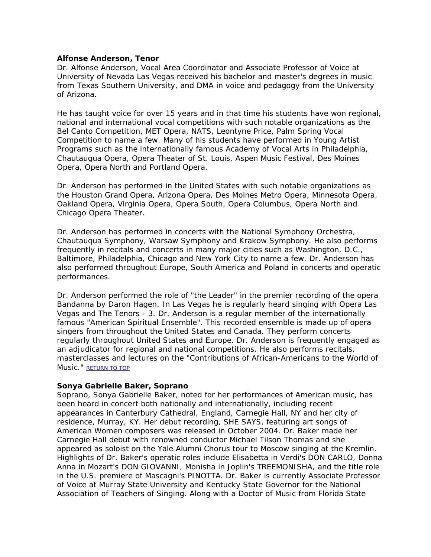## **Alfonse Anderson, Tenor**

Dr. Alfonse Anderson, Vocal Area Coordinator and Associate Professor of Voice at University of Nevada Las Vegas received his bachelor and master's degrees in music from Texas Southern University, and DMA in voice and pedagogy from the University of Arizona.

He has taught voice for over 15 years and in that time his students have won regional, national and international vocal competitions with such notable organizations as the Bel Canto Competition, MET Opera, NATS, Leontyne Price, Palm Spring Vocal Competition to name a few. Many of his students have performed in Young Artist Programs such as the internationally famous Academy of Vocal Arts in Philadelphia, Chautaugua Opera, Opera Theater of St. Louis, Aspen Music Festival, Des Moines Opera, Opera North and Portland Opera.

Dr. Anderson has performed in the United States with such notable organizations as the Houston Grand Opera, Arizona Opera, Des Moines Metro Opera, Minnesota Opera, Oakland Opera, Virginia Opera, Opera South, Opera Columbus, Opera North and Chicago Opera Theater.

Dr. Anderson has performed in concerts with the National Symphony Orchestra, Chautauqua Symphony, Warsaw Symphony and Krakow Symphony. He also performs frequently in recitals and concerts in many major cities such as Washington, D.C., Baltimore, Philadelphia, Chicago and New York City to name a few. Dr. Anderson has also performed throughout Europe, South America and Poland in concerts and operatic performances.

Dr. Anderson performed the role of "the Leader" in the premier recording of the opera Bandanna by Daron Hagen. In Las Vegas he is regularly heard singing with Opera Las Vegas and The Tenors - 3. Dr. Anderson is a regular member of the internationally famous "American Spiritual Ensemble". This recorded ensemble is made up of opera singers from throughout the United States and Canada. They perform concerts regularly throughout United States and Europe. Dr. Anderson is frequently engaged as an adjudicator for regional and national competitions. He also performs recitals, masterclasses and lectures on the "Contributions of African-Americans to the World of Music." [RETURN TO TOP](http://www.americanspiritualensemble.com/voices.html#voicelist)

## **Sonya Gabrielle Baker, Soprano**

Soprano, Sonya Gabrielle Baker, noted for her performances of American music, has been heard in concert both nationally and internationally, including recent appearances in Canterbury Cathedral, England, Carnegie Hall, NY and her city of residence, Murray, KY. Her debut recording, SHE SAYS, featuring art songs of American Women composers was released in October 2004. Dr. Baker made her Carnegie Hall debut with renowned conductor Michael Tilson Thomas and she appeared as soloist on the Yale Alumni Chorus tour to Moscow singing at the Kremlin. Highlights of Dr. Baker's operatic roles include Elisabetta in Verdi's DON CARLO, Donna Anna in Mozart's DON GIOVANNI, Monisha in Joplin's TREEMONISHA, and the title role in the U.S. premiere of Mascagni's PINOTTA. Dr. Baker is currently Associate Professor of Voice at Murray State University and Kentucky State Governor for the National Association of Teachers of Singing. Along with a Doctor of Music from Florida State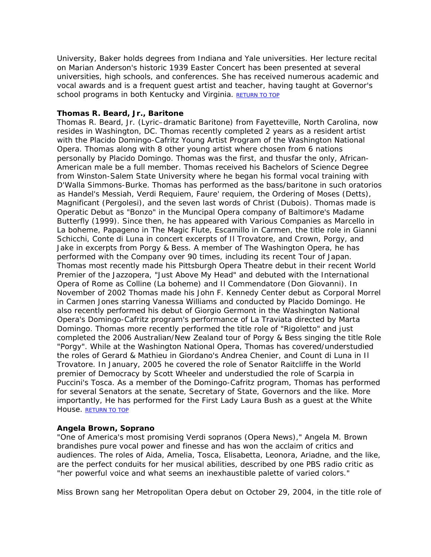University, Baker holds degrees from Indiana and Yale universities. Her lecture recital on Marian Anderson's historic 1939 Easter Concert has been presented at several universities, high schools, and conferences. She has received numerous academic and vocal awards and is a frequent guest artist and teacher, having taught at Governor's school programs in both Kentucky and Virginia. [RETURN TO TOP](http://www.americanspiritualensemble.com/voices.html#voicelist)

## **Thomas R. Beard, Jr., Baritone**

Thomas R. Beard, Jr. (Lyric–dramatic Baritone) from Fayetteville, North Carolina, now resides in Washington, DC. Thomas recently completed 2 years as a resident artist with the Placido Domingo-Cafritz Young Artist Program of the Washington National Opera. Thomas along with 8 other young artist where chosen from 6 nations personally by Placido Domingo. Thomas was the first, and thusfar the only, African-American male be a full member. Thomas received his Bachelors of Science Degree from Winston-Salem State University where he began his formal vocal training with D'Walla Simmons-Burke. Thomas has performed as the bass/baritone in such oratorios as Handel's Messiah, Verdi Requiem, Faure' requiem, the Ordering of Moses (Detts), Magnificant (Pergolesi), and the seven last words of Christ (Dubois). Thomas made is Operatic Debut as "Bonzo" in the Muncipal Opera company of Baltimore's Madame Butterfly (1999). Since then, he has appeared with Various Companies as Marcello in La boheme, Papageno in The Magic Flute, Escamillo in Carmen, the title role in Gianni Schicchi, Conte di Luna in concert excerpts of Il Trovatore, and Crown, Porgy, and Jake in excerpts from Porgy & Bess. A member of The Washington Opera, he has performed with the Company over 90 times, including its recent Tour of Japan. Thomas most recently made his Pittsburgh Opera Theatre debut in their recent World Premier of the Jazzopera, "Just Above My Head" and debuted with the International Opera of Rome as Colline (La boheme) and Il Commendatore (Don Giovanni). In November of 2002 Thomas made his John F. Kennedy Center debut as Corporal Morrel in Carmen Jones starring Vanessa Williams and conducted by Placido Domingo. He also recently performed his debut of Giorgio Germont in the Washington National Opera's Domingo-Cafritz program's performance of La Traviata directed by Marta Domingo. Thomas more recently performed the title role of "Rigoletto" and just completed the 2006 Australian/New Zealand tour of Porgy & Bess singing the title Role "Porgy". While at the Washington National Opera, Thomas has covered/understudied the roles of Gerard & Mathieu in Giordano's Andrea Chenier, and Count di Luna in Il Trovatore. In January, 2005 he covered the role of Senator Raitcliffe in the World premier of Democracy by Scott Wheeler and understudied the role of Scarpia in Puccini's Tosca. As a member of the Domingo-Cafritz program, Thomas has performed for several Senators at the senate, Secretary of State, Governors and the like. More importantly, He has performed for the First Lady Laura Bush as a guest at the White House. [RETURN TO TOP](http://www.americanspiritualensemble.com/voices.html#voicelist)

## **Angela Brown, Soprano**

"One of America's most promising Verdi sopranos (Opera News)," Angela M. Brown brandishes pure vocal power and finesse and has won the acclaim of critics and audiences. The roles of Aida, Amelia, Tosca, Elisabetta, Leonora, Ariadne, and the like, are the perfect conduits for her musical abilities, described by one PBS radio critic as "her powerful voice and what seems an inexhaustible palette of varied colors."

Miss Brown sang her Metropolitan Opera debut on October 29, 2004, in the title role of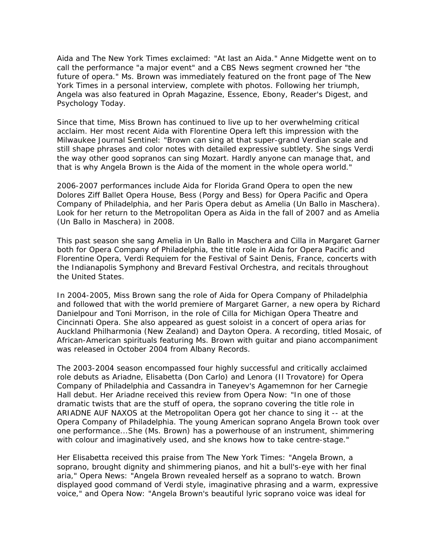Aida and The New York Times exclaimed: "At last an Aida." Anne Midgette went on to call the performance "a major event" and a CBS News segment crowned her "the future of opera." Ms. Brown was immediately featured on the front page of The New York Times in a personal interview, complete with photos. Following her triumph, Angela was also featured in Oprah Magazine, Essence, Ebony, Reader's Digest, and Psychology Today.

Since that time, Miss Brown has continued to live up to her overwhelming critical acclaim. Her most recent Aida with Florentine Opera left this impression with the Milwaukee Journal Sentinel: "Brown can sing at that super-grand Verdian scale and still shape phrases and color notes with detailed expressive subtlety. She sings Verdi the way other good sopranos can sing Mozart. Hardly anyone can manage that, and that is why Angela Brown is the Aida of the moment in the whole opera world."

2006-2007 performances include Aida for Florida Grand Opera to open the new Dolores Ziff Ballet Opera House, Bess (Porgy and Bess) for Opera Pacific and Opera Company of Philadelphia, and her Paris Opera debut as Amelia (Un Ballo in Maschera). Look for her return to the Metropolitan Opera as Aida in the fall of 2007 and as Amelia (Un Ballo in Maschera) in 2008.

This past season she sang Amelia in Un Ballo in Maschera and Cilla in Margaret Garner both for Opera Company of Philadelphia, the title role in Aida for Opera Pacific and Florentine Opera, Verdi Requiem for the Festival of Saint Denis, France, concerts with the Indianapolis Symphony and Brevard Festival Orchestra, and recitals throughout the United States.

In 2004-2005, Miss Brown sang the role of Aida for Opera Company of Philadelphia and followed that with the world premiere of Margaret Garner, a new opera by Richard Danielpour and Toni Morrison, in the role of Cilla for Michigan Opera Theatre and Cincinnati Opera. She also appeared as guest soloist in a concert of opera arias for Auckland Philharmonia (New Zealand) and Dayton Opera. A recording, titled Mosaic, of African-American spirituals featuring Ms. Brown with guitar and piano accompaniment was released in October 2004 from Albany Records.

The 2003-2004 season encompassed four highly successful and critically acclaimed role debuts as Ariadne, Elisabetta (Don Carlo) and Lenora (Il Trovatore) for Opera Company of Philadelphia and Cassandra in Taneyev's Agamemnon for her Carnegie Hall debut. Her Ariadne received this review from Opera Now: "In one of those dramatic twists that are the stuff of opera, the soprano covering the title role in ARIADNE AUF NAXOS at the Metropolitan Opera got her chance to sing it -- at the Opera Company of Philadelphia. The young American soprano Angela Brown took over one performance...She (Ms. Brown) has a powerhouse of an instrument, shimmering with colour and imaginatively used, and she knows how to take centre-stage."

Her Elisabetta received this praise from The New York Times: "Angela Brown, a soprano, brought dignity and shimmering pianos, and hit a bull's-eye with her final aria," Opera News: "Angela Brown revealed herself as a soprano to watch. Brown displayed good command of Verdi style, imaginative phrasing and a warm, expressive voice," and Opera Now: "Angela Brown's beautiful lyric soprano voice was ideal for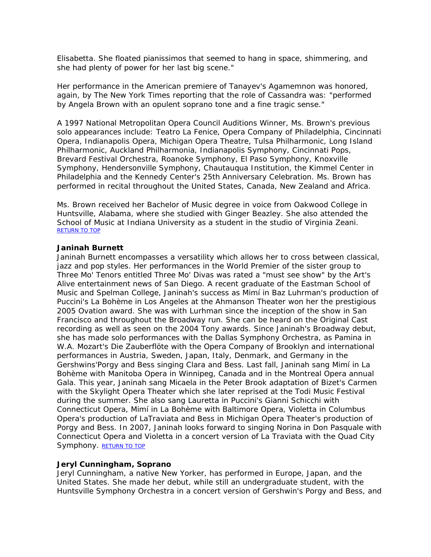Elisabetta. She floated pianissimos that seemed to hang in space, shimmering, and she had plenty of power for her last big scene."

Her performance in the American premiere of Tanayev's Agamemnon was honored, again, by The New York Times reporting that the role of Cassandra was: "performed by Angela Brown with an opulent soprano tone and a fine tragic sense."

A 1997 National Metropolitan Opera Council Auditions Winner, Ms. Brown's previous solo appearances include: Teatro La Fenice, Opera Company of Philadelphia, Cincinnati Opera, Indianapolis Opera, Michigan Opera Theatre, Tulsa Philharmonic, Long Island Philharmonic, Auckland Philharmonia, Indianapolis Symphony, Cincinnati Pops, Brevard Festival Orchestra, Roanoke Symphony, El Paso Symphony, Knoxville Symphony, Hendersonville Symphony, Chautauqua Institution, the Kimmel Center in Philadelphia and the Kennedy Center's 25th Anniversary Celebration. Ms. Brown has performed in recital throughout the United States, Canada, New Zealand and Africa.

Ms. Brown received her Bachelor of Music degree in voice from Oakwood College in Huntsville, Alabama, where she studied with Ginger Beazley. She also attended the School of Music at Indiana University as a student in the studio of Virginia Zeani. [RETURN TO TOP](http://www.americanspiritualensemble.com/voices.html#voicelist)

## **Janinah Burnett**

Janinah Burnett encompasses a versatility which allows her to cross between classical, jazz and pop styles. Her performances in the World Premier of the sister group to Three Mo' Tenors entitled Three Mo' Divas was rated a "must see show" by the Art's Alive entertainment news of San Diego. A recent graduate of the Eastman School of Music and Spelman College, Janinah's success as Mimí in Baz Luhrman's production of Puccini's La Bohème in Los Angeles at the Ahmanson Theater won her the prestigious 2005 Ovation award. She was with Lurhman since the inception of the show in San Francisco and throughout the Broadway run. She can be heard on the Original Cast recording as well as seen on the 2004 Tony awards. Since Janinah's Broadway debut, she has made solo performances with the Dallas Symphony Orchestra, as Pamina in W.A. Mozart's Die Zauberflöte with the Opera Company of Brooklyn and international performances in Austria, Sweden, Japan, Italy, Denmark, and Germany in the Gershwins'Porgy and Bess singing Clara and Bess. Last fall, Janinah sang Mimí in La Bohème with Manitoba Opera in Winnipeg, Canada and in the Montreal Opera annual Gala. This year, Janinah sang Micaela in the Peter Brook adaptation of Bizet's Carmen with the Skylight Opera Theater which she later reprised at the Todi Music Festival during the summer. She also sang Lauretta in Puccini's Gianni Schicchi with Connecticut Opera, Mimí in La Bohème with Baltimore Opera, Violetta in Columbus Opera's production of LaTraviata and Bess in Michigan Opera Theater's production of Porgy and Bess. In 2007, Janinah looks forward to singing Norina in Don Pasquale with Connecticut Opera and Violetta in a concert version of La Traviata with the Quad City Symphony. [RETURN TO TOP](http://www.americanspiritualensemble.com/voices.html#voicelist)

### **Jeryl Cunningham, Soprano**

Jeryl Cunningham, a native New Yorker, has performed in Europe, Japan, and the United States. She made her debut, while still an undergraduate student, with the Huntsville Symphony Orchestra in a concert version of Gershwin's Porgy and Bess, and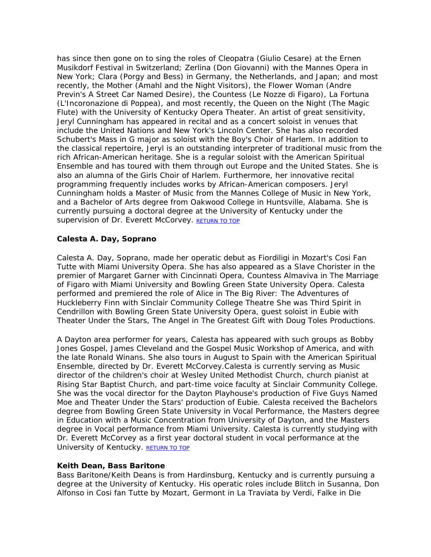has since then gone on to sing the roles of Cleopatra (Giulio Cesare) at the Ernen Musikdorf Festival in Switzerland; Zerlina (Don Giovanni) with the Mannes Opera in New York; Clara (Porgy and Bess) in Germany, the Netherlands, and Japan; and most recently, the Mother (Amahl and the Night Visitors), the Flower Woman (Andre Previn's A Street Car Named Desire), the Countess (Le Nozze di Figaro), La Fortuna (L'Incoronazione di Poppea), and most recently, the Queen on the Night (The Magic Flute) with the University of Kentucky Opera Theater. An artist of great sensitivity, Jeryl Cunningham has appeared in recital and as a concert soloist in venues that include the United Nations and New York's Lincoln Center. She has also recorded Schubert's Mass in G major as soloist with the Boy's Choir of Harlem. In addition to the classical repertoire, Jeryl is an outstanding interpreter of traditional music from the rich African-American heritage. She is a regular soloist with the American Spiritual Ensemble and has toured with them through out Europe and the United States. She is also an alumna of the Girls Choir of Harlem. Furthermore, her innovative recital programming frequently includes works by African-American composers. Jeryl Cunningham holds a Master of Music from the Mannes College of Music in New York, and a Bachelor of Arts degree from Oakwood College in Huntsville, Alabama. She is currently pursuing a doctoral degree at the University of Kentucky under the supervision of Dr. Everett McCorvey. [RETURN TO TOP](http://www.americanspiritualensemble.com/voices.html#voicelist)

## **Calesta A. Day, Soprano**

Calesta A. Day, Soprano, made her operatic debut as Fiordiligi in Mozart's Cosi Fan Tutte with Miami University Opera. She has also appeared as a Slave Chorister in the premier of Margaret Garner with Cincinnati Opera, Countess Almaviva in The Marriage of Figaro with Miami University and Bowling Green State University Opera. Calesta performed and premiered the role of Alice in The Big River: The Adventures of Huckleberry Finn with Sinclair Community College Theatre She was Third Spirit in Cendrillon with Bowling Green State University Opera, guest soloist in Eubie with Theater Under the Stars, The Angel in The Greatest Gift with Doug Toles Productions.

A Dayton area performer for years, Calesta has appeared with such groups as Bobby Jones Gospel, James Cleveland and the Gospel Music Workshop of America, and with the late Ronald Winans. She also tours in August to Spain with the American Spiritual Ensemble, directed by Dr. Everett McCorvey.Calesta is currently serving as Music director of the children's choir at Wesley United Methodist Church, church pianist at Rising Star Baptist Church, and part-time voice faculty at Sinclair Community College. She was the vocal director for the Dayton Playhouse's production of Five Guys Named Moe and Theater Under the Stars' production of Eubie. Calesta received the Bachelors degree from Bowling Green State University in Vocal Performance, the Masters degree in Education with a Music Concentration from University of Dayton, and the Masters degree in Vocal performance from Miami University. Calesta is currently studying with Dr. Everett McCorvey as a first year doctoral student in vocal performance at the University of Kentucky. [RETURN TO TOP](http://www.americanspiritualensemble.com/voices.html#voicelist)

## **Keith Dean, Bass Baritone**

Bass Baritone/Keith Deans is from Hardinsburg, Kentucky and is currently pursuing a degree at the University of Kentucky. His operatic roles include Blitch in Susanna, Don Alfonso in Cosi fan Tutte by Mozart, Germont in La Traviata by Verdi, Falke in Die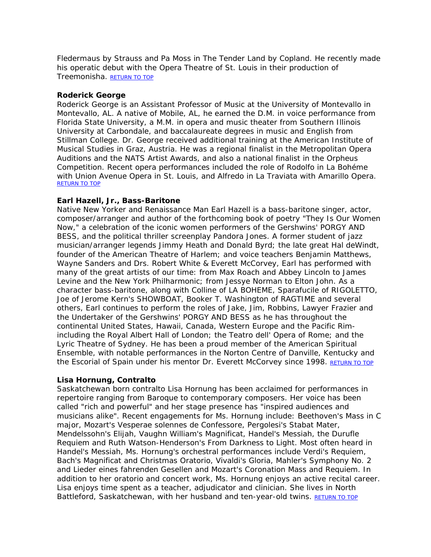Fledermaus by Strauss and Pa Moss in The Tender Land by Copland. He recently made his operatic debut with the Opera Theatre of St. Louis in their production of Treemonisha. [RETURN TO TOP](http://www.americanspiritualensemble.com/voices.html#voicelist)

## **Roderick George**

Roderick George is an Assistant Professor of Music at the University of Montevallo in Montevallo, AL. A native of Mobile, AL, he earned the D.M. in voice performance from Florida State University, a M.M. in opera and music theater from Southern Illinois University at Carbondale, and baccalaureate degrees in music and English from Stillman College. Dr. George received additional training at the American Institute of Musical Studies in Graz, Austria. He was a regional finalist in the Metropolitan Opera Auditions and the NATS Artist Awards, and also a national finalist in the Orpheus Competition. Recent opera performances included the role of Rodolfo in La Bohéme with Union Avenue Opera in St. Louis, and Alfredo in La Traviata with Amarillo Opera. [RETURN TO TOP](http://www.americanspiritualensemble.com/voices.html#voicelist)

## **Earl Hazell, Jr., Bass-Baritone**

Native New Yorker and Renaissance Man Earl Hazell is a bass-baritone singer, actor, composer/arranger and author of the forthcoming book of poetry "They Is Our Women Now," a celebration of the iconic women performers of the Gershwins' PORGY AND BESS, and the political thriller screenplay Pandora Jones. A former student of jazz musician/arranger legends Jimmy Heath and Donald Byrd; the late great Hal deWindt, founder of the American Theatre of Harlem; and voice teachers Benjamin Matthews, Wayne Sanders and Drs. Robert White & Everett McCorvey, Earl has performed with many of the great artists of our time: from Max Roach and Abbey Lincoln to James Levine and the New York Philharmonic; from Jessye Norman to Elton John. As a character bass-baritone, along with Colline of LA BOHEME, Sparafucile of RIGOLETTO, Joe of Jerome Kern's SHOWBOAT, Booker T. Washington of RAGTIME and several others, Earl continues to perform the roles of Jake, Jim, Robbins, Lawyer Frazier and the Undertaker of the Gershwins' PORGY AND BESS as he has throughout the continental United States, Hawaii, Canada, Western Europe and the Pacific Rimincluding the Royal Albert Hall of London; the Teatro dell' Opera of Rome; and the Lyric Theatre of Sydney. He has been a proud member of the American Spiritual Ensemble, with notable performances in the Norton Centre of Danville, Kentucky and the Escorial of Spain under his mentor Dr. Everett McCorvey since 1998. [RETURN TO TOP](http://www.americanspiritualensemble.com/voices.html#voicelist)

## **Lisa Hornung, Contralto**

Saskatchewan born contralto Lisa Hornung has been acclaimed for performances in repertoire ranging from Baroque to contemporary composers. Her voice has been called "rich and powerful" and her stage presence has "inspired audiences and musicians alike". Recent engagements for Ms. Hornung include: Beethoven's Mass in C major, Mozart's Vesperae solennes de Confessore, Pergolesi's Stabat Mater, Mendelssohn's Elijah, Vaughn William's Magnificat, Handel's Messiah, the Durufle Requiem and Ruth Watson-Henderson's From Darkness to Light. Most often heard in Handel's Messiah, Ms. Hornung's orchestral performances include Verdi's Requiem, Bach's Magnificat and Christmas Oratorio, Vivaldi's Gloria, Mahler's Symphony No. 2 and Lieder eines fahrenden Gesellen and Mozart's Coronation Mass and Requiem. In addition to her oratorio and concert work, Ms. Hornung enjoys an active recital career. Lisa enjoys time spent as a teacher, adjudicator and clinician. She lives in North Battleford, Saskatchewan, with her husband and ten-year-old twins. [RETURN TO TOP](http://www.americanspiritualensemble.com/voices.html#voicelist)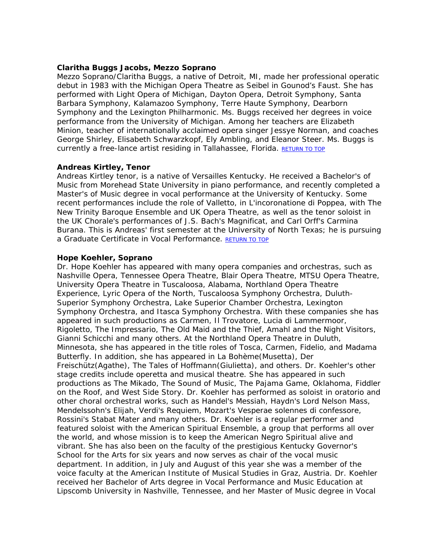## **Claritha Buggs Jacobs, Mezzo Soprano**

Mezzo Soprano/Claritha Buggs, a native of Detroit, MI, made her professional operatic debut in 1983 with the Michigan Opera Theatre as Seibel in Gounod's Faust. She has performed with Light Opera of Michigan, Dayton Opera, Detroit Symphony, Santa Barbara Symphony, Kalamazoo Symphony, Terre Haute Symphony, Dearborn Symphony and the Lexington Philharmonic. Ms. Buggs received her degrees in voice performance from the University of Michigan. Among her teachers are Elizabeth Minion, teacher of internationally acclaimed opera singer Jessye Norman, and coaches George Shirley, Elisabeth Schwarzkopf, Ely Ambling, and Eleanor Steer. Ms. Buggs is currently a free-lance artist residing in Tallahassee, Florida. [RETURN TO TOP](http://www.americanspiritualensemble.com/voices.html#voicelist)

## **Andreas Kirtley, Tenor**

Andreas Kirtley tenor, is a native of Versailles Kentucky. He received a Bachelor's of Music from Morehead State University in piano performance, and recently completed a Master's of Music degree in vocal performance at the University of Kentucky. Some recent performances include the role of Valletto, in L'incoronatione di Poppea, with The New Trinity Baroque Ensemble and UK Opera Theatre, as well as the tenor soloist in the UK Chorale's performances of J.S. Bach's Magnificat, and Carl Orff's Carmina Burana. This is Andreas' first semester at the University of North Texas; he is pursuing a Graduate Certificate in Vocal Performance. RETURN TO TOP

## **Hope Koehler, Soprano**

Dr. Hope Koehler has appeared with many opera companies and orchestras, such as Nashville Opera, Tennessee Opera Theatre, Blair Opera Theatre, MTSU Opera Theatre, University Opera Theatre in Tuscaloosa, Alabama, Northland Opera Theatre Experience, Lyric Opera of the North, Tuscaloosa Symphony Orchestra, Duluth-Superior Symphony Orchestra, Lake Superior Chamber Orchestra, Lexington Symphony Orchestra, and Itasca Symphony Orchestra. With these companies she has appeared in such productions as Carmen, Il Trovatore, Lucia di Lammermoor, Rigoletto, The Impressario, The Old Maid and the Thief, Amahl and the Night Visitors, Gianni Schicchi and many others. At the Northland Opera Theatre in Duluth, Minnesota, she has appeared in the title roles of Tosca, Carmen, Fidelio, and Madama Butterfly. In addition, she has appeared in La Bohème(Musetta), Der Freischütz(Agathe), The Tales of Hoffmann(Giulietta), and others. Dr. Koehler's other stage credits include operetta and musical theatre. She has appeared in such productions as The Mikado, The Sound of Music, The Pajama Game, Oklahoma, Fiddler on the Roof, and West Side Story. Dr. Koehler has performed as soloist in oratorio and other choral orchestral works, such as Handel's Messiah, Haydn's Lord Nelson Mass, Mendelssohn's Elijah, Verdi's Requiem, Mozart's Vesperae solennes di confessore, Rossini's Stabat Mater and many others. Dr. Koehler is a regular performer and featured soloist with the American Spiritual Ensemble, a group that performs all over the world, and whose mission is to keep the American Negro Spiritual alive and vibrant. She has also been on the faculty of the prestigious Kentucky Governor's School for the Arts for six years and now serves as chair of the vocal music department. In addition, in July and August of this year she was a member of the voice faculty at the American Institute of Musical Studies in Graz, Austria. Dr. Koehler received her Bachelor of Arts degree in Vocal Performance and Music Education at Lipscomb University in Nashville, Tennessee, and her Master of Music degree in Vocal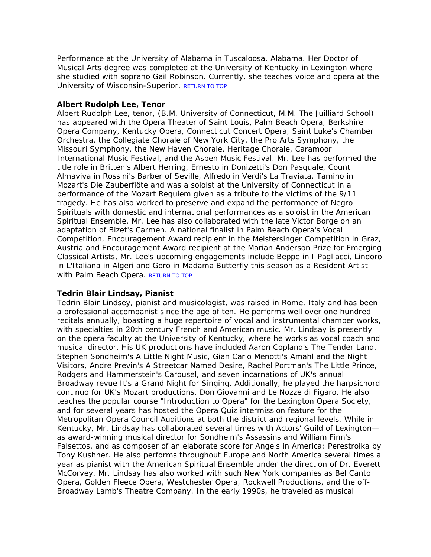Performance at the University of Alabama in Tuscaloosa, Alabama. Her Doctor of Musical Arts degree was completed at the University of Kentucky in Lexington where she studied with soprano Gail Robinson. Currently, she teaches voice and opera at the University of Wisconsin-Superior. [RETURN TO TOP](http://www.americanspiritualensemble.com/voices.html#voicelist)

## **Albert Rudolph Lee, Tenor**

Albert Rudolph Lee, tenor, (B.M. University of Connecticut, M.M. The Juilliard School) has appeared with the Opera Theater of Saint Louis, Palm Beach Opera, Berkshire Opera Company, Kentucky Opera, Connecticut Concert Opera, Saint Luke's Chamber Orchestra, the Collegiate Chorale of New York City, the Pro Arts Symphony, the Missouri Symphony, the New Haven Chorale, Heritage Chorale, Caramoor International Music Festival, and the Aspen Music Festival. Mr. Lee has performed the title role in Britten's Albert Herring, Ernesto in Donizetti's Don Pasquale, Count Almaviva in Rossini's Barber of Seville, Alfredo in Verdi's La Traviata, Tamino in Mozart's Die Zauberflöte and was a soloist at the University of Connecticut in a performance of the Mozart Requiem given as a tribute to the victims of the 9/11 tragedy. He has also worked to preserve and expand the performance of Negro Spirituals with domestic and international performances as a soloist in the American Spiritual Ensemble. Mr. Lee has also collaborated with the late Victor Borge on an adaptation of Bizet's Carmen. A national finalist in Palm Beach Opera's Vocal Competition, Encouragement Award recipient in the Meistersinger Competition in Graz, Austria and Encouragement Award recipient at the Marian Anderson Prize for Emerging Classical Artists, Mr. Lee's upcoming engagements include Beppe in I Pagliacci, Lindoro in L'Italiana in Algeri and Goro in Madama Butterfly this season as a Resident Artist with Palm Beach Opera. [RETURN TO TOP](http://www.americanspiritualensemble.com/voices.html#voicelist)

## **Tedrin Blair Lindsay, Pianist**

Tedrin Blair Lindsey, pianist and musicologist, was raised in Rome, Italy and has been a professional accompanist since the age of ten. He performs well over one hundred recitals annually, boasting a huge repertoire of vocal and instrumental chamber works, with specialties in 20th century French and American music. Mr. Lindsay is presently on the opera faculty at the University of Kentucky, where he works as vocal coach and musical director. His UK productions have included Aaron Copland's The Tender Land, Stephen Sondheim's A Little Night Music, Gian Carlo Menotti's Amahl and the Night Visitors, Andre Previn's A Streetcar Named Desire, Rachel Portman's The Little Prince, Rodgers and Hammerstein's Carousel, and seven incarnations of UK's annual Broadway revue It's a Grand Night for Singing. Additionally, he played the harpsichord continuo for UK's Mozart productions, Don Giovanni and Le Nozze di Figaro. He also teaches the popular course "Introduction to Opera" for the Lexington Opera Society, and for several years has hosted the Opera Quiz intermission feature for the Metropolitan Opera Council Auditions at both the district and regional levels. While in Kentucky, Mr. Lindsay has collaborated several times with Actors' Guild of Lexington as award-winning musical director for Sondheim's Assassins and William Finn's Falsettos, and as composer of an elaborate score for Angels in America: Perestroika by Tony Kushner. He also performs throughout Europe and North America several times a year as pianist with the American Spiritual Ensemble under the direction of Dr. Everett McCorvey. Mr. Lindsay has also worked with such New York companies as Bel Canto Opera, Golden Fleece Opera, Westchester Opera, Rockwell Productions, and the off-Broadway Lamb's Theatre Company. In the early 1990s, he traveled as musical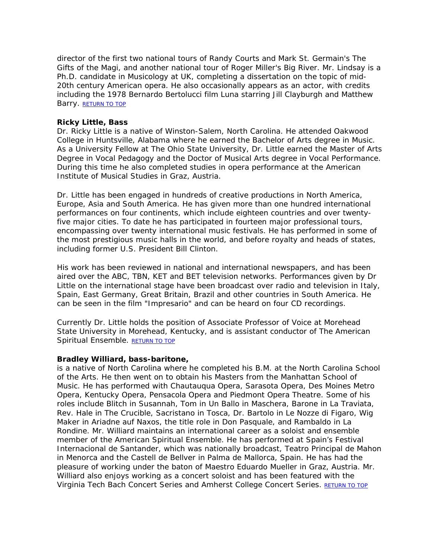director of the first two national tours of Randy Courts and Mark St. Germain's The Gifts of the Magi, and another national tour of Roger Miller's Big River. Mr. Lindsay is a Ph.D. candidate in Musicology at UK, completing a dissertation on the topic of mid-20th century American opera. He also occasionally appears as an actor, with credits including the 1978 Bernardo Bertolucci film Luna starring Jill Clayburgh and Matthew Barry. [RETURN TO TOP](http://www.americanspiritualensemble.com/voices.html#voicelist)

## **Ricky Little, Bass**

Dr. Ricky Little is a native of Winston-Salem, North Carolina. He attended Oakwood College in Huntsville, Alabama where he earned the Bachelor of Arts degree in Music. As a University Fellow at The Ohio State University, Dr. Little earned the Master of Arts Degree in Vocal Pedagogy and the Doctor of Musical Arts degree in Vocal Performance. During this time he also completed studies in opera performance at the American Institute of Musical Studies in Graz, Austria.

Dr. Little has been engaged in hundreds of creative productions in North America, Europe, Asia and South America. He has given more than one hundred international performances on four continents, which include eighteen countries and over twentyfive major cities. To date he has participated in fourteen major professional tours, encompassing over twenty international music festivals. He has performed in some of the most prestigious music halls in the world, and before royalty and heads of states, including former U.S. President Bill Clinton.

His work has been reviewed in national and international newspapers, and has been aired over the ABC, TBN, KET and BET television networks. Performances given by Dr Little on the international stage have been broadcast over radio and television in Italy, Spain, East Germany, Great Britain, Brazil and other countries in South America. He can be seen in the film "Impresario" and can be heard on four CD recordings.

Currently Dr. Little holds the position of Associate Professor of Voice at Morehead State University in Morehead, Kentucky, and is assistant conductor of The American Spiritual Ensemble. [RETURN TO TOP](http://www.americanspiritualensemble.com/voices.html#voicelist)

## **Bradley Williard, bass-baritone,**

is a native of North Carolina where he completed his B.M. at the North Carolina School of the Arts. He then went on to obtain his Masters from the Manhattan School of Music. He has performed with Chautauqua Opera, Sarasota Opera, Des Moines Metro Opera, Kentucky Opera, Pensacola Opera and Piedmont Opera Theatre. Some of his roles include Blitch in Susannah, Tom in Un Ballo in Maschera, Barone in La Traviata, Rev. Hale in The Crucible, Sacristano in Tosca, Dr. Bartolo in Le Nozze di Figaro, Wig Maker in Ariadne auf Naxos, the title role in Don Pasquale, and Rambaldo in La Rondine. Mr. Williard maintains an international career as a soloist and ensemble member of the American Spiritual Ensemble. He has performed at Spain's Festival Internacional de Santander, which was nationally broadcast, Teatro Principal de Mahon in Menorca and the Castell de Bellver in Palma de Mallorca, Spain. He has had the pleasure of working under the baton of Maestro Eduardo Mueller in Graz, Austria. Mr. Williard also enjoys working as a concert soloist and has been featured with the Virginia Tech Bach Concert Series and Amherst College Concert Series. RETURN TO TOP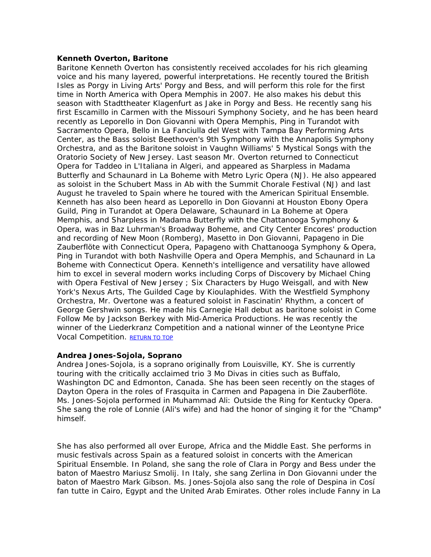## **Kenneth Overton, Baritone**

Baritone Kenneth Overton has consistently received accolades for his rich gleaming voice and his many layered, powerful interpretations. He recently toured the British Isles as Porgy in Living Arts' Porgy and Bess, and will perform this role for the first time in North America with Opera Memphis in 2007. He also makes his debut this season with Stadttheater Klagenfurt as Jake in Porgy and Bess. He recently sang his first Escamillo in Carmen with the Missouri Symphony Society, and he has been heard recently as Leporello in Don Giovanni with Opera Memphis, Ping in Turandot with Sacramento Opera, Bello in La Fanciulla del West with Tampa Bay Performing Arts Center, as the Bass soloist Beethoven's 9th Symphony with the Annapolis Symphony Orchestra, and as the Baritone soloist in Vaughn Williams' 5 Mystical Songs with the Oratorio Society of New Jersey. Last season Mr. Overton returned to Connecticut Opera for Taddeo in L'Italiana in Algeri, and appeared as Sharpless in Madama Butterfly and Schaunard in La Boheme with Metro Lyric Opera (NJ). He also appeared as soloist in the Schubert Mass in Ab with the Summit Chorale Festival (NJ) and last August he traveled to Spain where he toured with the American Spiritual Ensemble. Kenneth has also been heard as Leporello in Don Giovanni at Houston Ebony Opera Guild, Ping in Turandot at Opera Delaware, Schaunard in La Boheme at Opera Memphis, and Sharpless in Madama Butterfly with the Chattanooga Symphony & Opera, was in Baz Luhrman's Broadway Boheme, and City Center Encores' production and recording of New Moon (Romberg), Masetto in Don Giovanni, Papageno in Die Zauberflöte with Connecticut Opera, Papageno with Chattanooga Symphony & Opera, Ping in Turandot with both Nashville Opera and Opera Memphis, and Schaunard in La Boheme with Connecticut Opera. Kenneth's intelligence and versatility have allowed him to excel in several modern works including Corps of Discovery by Michael Ching with Opera Festival of New Jersey ; Six Characters by Hugo Weisgall, and with New York's Nexus Arts, The Guilded Cage by Kioulaphides. With the Westfield Symphony Orchestra, Mr. Overtone was a featured soloist in Fascinatin' Rhythm, a concert of George Gershwin songs. He made his Carnegie Hall debut as baritone soloist in Come Follow Me by Jackson Berkey with Mid-America Productions. He was recently the winner of the Liederkranz Competition and a national winner of the Leontyne Price Vocal Competition. [RETURN TO TOP](http://www.americanspiritualensemble.com/voices.html#voicelist)

## **Andrea Jones-Sojola, Soprano**

Andrea Jones-Sojola, is a soprano originally from Louisville, KY. She is currently touring with the critically acclaimed trio 3 Mo Divas in cities such as Buffalo, Washington DC and Edmonton, Canada. She has been seen recently on the stages of Dayton Opera in the roles of Frasquita in Carmen and Papagena in Die Zauberflöte. Ms. Jones-Sojola performed in Muhammad Ali: Outside the Ring for Kentucky Opera. She sang the role of Lonnie (Ali's wife) and had the honor of singing it for the "Champ" himself.

She has also performed all over Europe, Africa and the Middle East. She performs in music festivals across Spain as a featured soloist in concerts with the American Spiritual Ensemble. In Poland, she sang the role of Clara in Porgy and Bess under the baton of Maestro Mariusz Smolij. In Italy, she sang Zerlina in Don Giovanni under the baton of Maestro Mark Gibson. Ms. Jones-Sojola also sang the role of Despina in Cosí fan tutte in Cairo, Egypt and the United Arab Emirates. Other roles include Fanny in La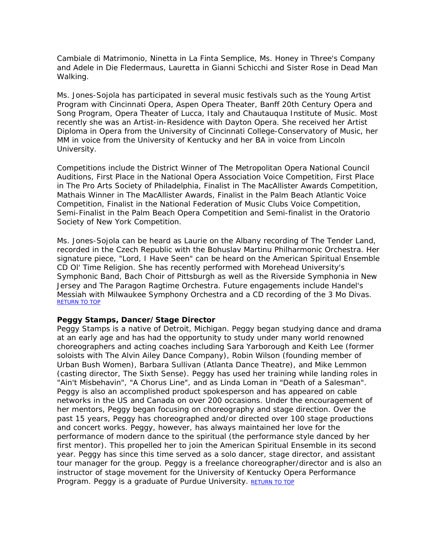Cambiale di Matrimonio, Ninetta in La Finta Semplice, Ms. Honey in Three's Company and Adele in Die Fledermaus, Lauretta in Gianni Schicchi and Sister Rose in Dead Man Walking.

Ms. Jones-Sojola has participated in several music festivals such as the Young Artist Program with Cincinnati Opera, Aspen Opera Theater, Banff 20th Century Opera and Song Program, Opera Theater of Lucca, Italy and Chautauqua Institute of Music. Most recently she was an Artist-in-Residence with Dayton Opera. She received her Artist Diploma in Opera from the University of Cincinnati College-Conservatory of Music, her MM in voice from the University of Kentucky and her BA in voice from Lincoln University.

Competitions include the District Winner of The Metropolitan Opera National Council Auditions, First Place in the National Opera Association Voice Competition, First Place in The Pro Arts Society of Philadelphia, Finalist in The MacAllister Awards Competition, Mathais Winner in The MacAllister Awards, Finalist in the Palm Beach Atlantic Voice Competition, Finalist in the National Federation of Music Clubs Voice Competition, Semi-Finalist in the Palm Beach Opera Competition and Semi-finalist in the Oratorio Society of New York Competition.

Ms. Jones-Sojola can be heard as Laurie on the Albany recording of The Tender Land, recorded in the Czech Republic with the Bohuslav Martinu Philharmonic Orchestra. Her signature piece, "Lord, I Have Seen" can be heard on the American Spiritual Ensemble CD Ol' Time Religion. She has recently performed with Morehead University's Symphonic Band, Bach Choir of Pittsburgh as well as the Riverside Symphonia in New Jersey and The Paragon Ragtime Orchestra. Future engagements include Handel's Messiah with Milwaukee Symphony Orchestra and a CD recording of the 3 Mo Divas. [RETURN TO TOP](http://www.americanspiritualensemble.com/voices.html#voicelist)

## **Peggy Stamps, Dancer/Stage Director**

Peggy Stamps is a native of Detroit, Michigan. Peggy began studying dance and drama at an early age and has had the opportunity to study under many world renowned choreographers and acting coaches including Sara Yarborough and Keith Lee (former soloists with The Alvin Ailey Dance Company), Robin Wilson (founding member of Urban Bush Women), Barbara Sullivan (Atlanta Dance Theatre), and Mike Lemmon (casting director, The Sixth Sense). Peggy has used her training while landing roles in "Ain't Misbehavin", "A Chorus Line", and as Linda Loman in "Death of a Salesman". Peggy is also an accomplished product spokesperson and has appeared on cable networks in the US and Canada on over 200 occasions. Under the encouragement of her mentors, Peggy began focusing on choreography and stage direction. Over the past 15 years, Peggy has choreographed and/or directed over 100 stage productions and concert works. Peggy, however, has always maintained her love for the performance of modern dance to the spiritual (the performance style danced by her first mentor). This propelled her to join the American Spiritual Ensemble in its second year. Peggy has since this time served as a solo dancer, stage director, and assistant tour manager for the group. Peggy is a freelance choreographer/director and is also an instructor of stage movement for the University of Kentucky Opera Performance Program. Peggy is a graduate of Purdue University. [RETURN TO TOP](http://www.americanspiritualensemble.com/voices.html#voicelist)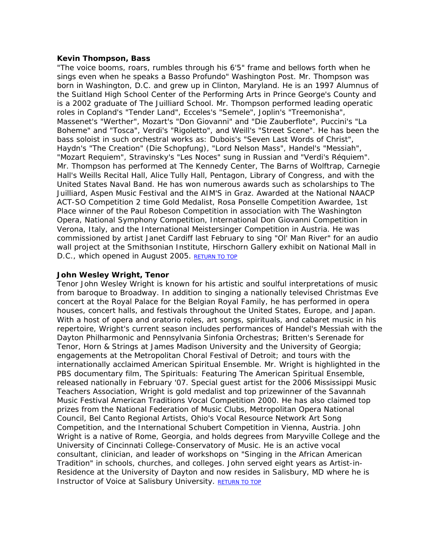## **Kevin Thompson, Bass**

"The voice booms, roars, rumbles through his 6'5" frame and bellows forth when he sings even when he speaks a Basso Profundo" Washington Post. Mr. Thompson was born in Washington, D.C. and grew up in Clinton, Maryland. He is an 1997 Alumnus of the Suitland High School Center of the Performing Arts in Prince George's County and is a 2002 graduate of The Juilliard School. Mr. Thompson performed leading operatic roles in Copland's "Tender Land", Ecceles's "Semele", Joplin's "Treemonisha", Massenet's "Werther", Mozart's "Don Giovanni" and "Die Zauberflote", Puccini's "La Boheme" and "Tosca", Verdi's "Rigoletto", and Weill's "Street Scene". He has been the bass soloist in such orchestral works as: Dubois's "Seven Last Words of Christ", Haydn's "The Creation" (Die Schopfung), "Lord Nelson Mass", Handel's "Messiah", "Mozart Requiem", Stravinsky's "Les Noces" sung in Russian and "Verdi's Réquiem". Mr. Thompson has performed at The Kennedy Center, The Barns of Wolftrap, Carnegie Hall's Weills Recital Hall, Alice Tully Hall, Pentagon, Library of Congress, and with the United States Naval Band. He has won numerous awards such as scholarships to The Juilliard, Aspen Music Festival and the AIM'S in Graz. Awarded at the National NAACP ACT-SO Competition 2 time Gold Medalist, Rosa Ponselle Competition Awardee, 1st Place winner of the Paul Robeson Competition in association with The Washington Opera, National Symphony Competition, International Don Giovanni Competition in Verona, Italy, and the International Meistersinger Competition in Austria. He was commissioned by artist Janet Cardiff last February to sing "Ol' Man River" for an audio wall project at the Smithsonian Institute, Hirschorn Gallery exhibit on National Mall in D.C., which opened in August 2005. [RETURN TO TOP](http://www.americanspiritualensemble.com/voices.html#voicelist)

## **John Wesley Wright, Tenor**

Tenor John Wesley Wright is known for his artistic and soulful interpretations of music from baroque to Broadway. In addition to singing a nationally televised Christmas Eve concert at the Royal Palace for the Belgian Royal Family, he has performed in opera houses, concert halls, and festivals throughout the United States, Europe, and Japan. With a host of opera and oratorio roles, art songs, spirituals, and cabaret music in his repertoire, Wright's current season includes performances of Handel's Messiah with the Dayton Philharmonic and Pennsylvania Sinfonia Orchestras; Britten's Serenade for Tenor, Horn & Strings at James Madison University and the University of Georgia; engagements at the Metropolitan Choral Festival of Detroit; and tours with the internationally acclaimed American Spiritual Ensemble. Mr. Wright is highlighted in the PBS documentary film, The Spirituals: Featuring The American Spiritual Ensemble, released nationally in February '07. Special guest artist for the 2006 Mississippi Music Teachers Association, Wright is gold medalist and top prizewinner of the Savannah Music Festival American Traditions Vocal Competition 2000. He has also claimed top prizes from the National Federation of Music Clubs, Metropolitan Opera National Council, Bel Canto Regional Artists, Ohio's Vocal Resource Network Art Song Competition, and the International Schubert Competition in Vienna, Austria. John Wright is a native of Rome, Georgia, and holds degrees from Maryville College and the University of Cincinnati College-Conservatory of Music. He is an active vocal consultant, clinician, and leader of workshops on "Singing in the African American Tradition" in schools, churches, and colleges. John served eight years as Artist-in-Residence at the University of Dayton and now resides in Salisbury, MD where he is Instructor of Voice at Salisbury University. [RETURN TO TOP](http://www.americanspiritualensemble.com/voices.html#voicelist)